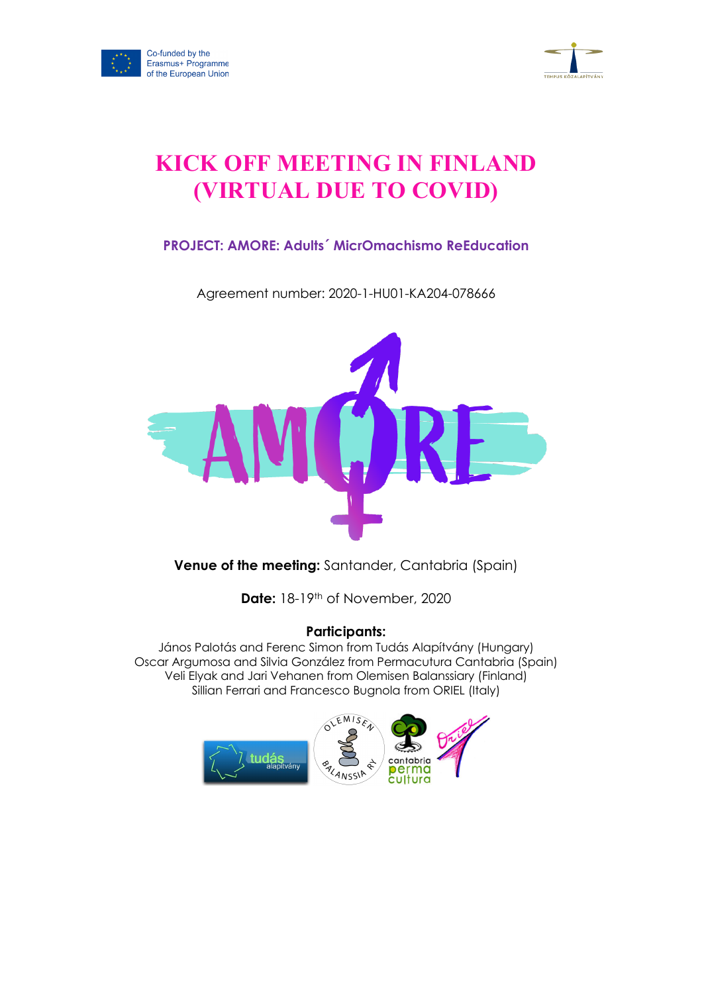



# **KICK OFF MEETING IN FINLAND (VIRTUAL DUE TO COVID)**

# **PROJECT: AMORE: Adults´ MicrOmachismo ReEducation**

Agreement number: 2020-1-HU01-KA204-078666



**Venue of the meeting:** Santander, Cantabria (Spain)

**Date:** 18-19th of November, 2020

# **Participants:**

János Palotás and Ferenc Simon from Tudás Alapítvány (Hungary) Oscar Argumosa and Silvia González from Permacutura Cantabria (Spain) Veli Elyak and Jari Vehanen from Olemisen Balanssiary (Finland) Sillian Ferrari and Francesco Bugnola from ORIEL (Italy)

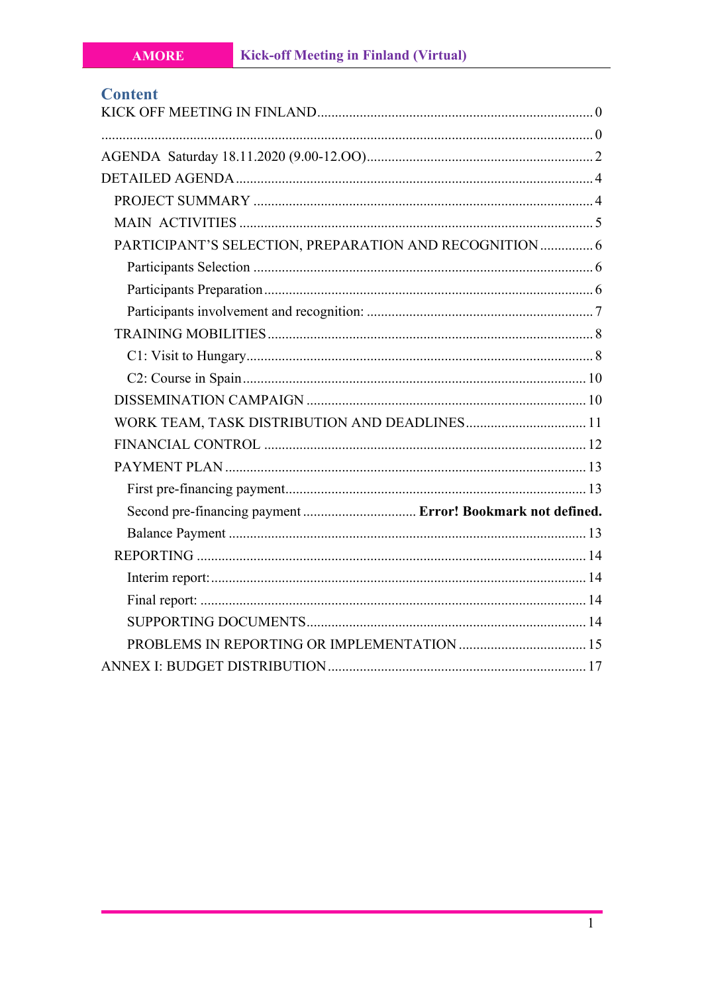| <b>Content</b>                                             |  |
|------------------------------------------------------------|--|
|                                                            |  |
|                                                            |  |
|                                                            |  |
|                                                            |  |
|                                                            |  |
|                                                            |  |
| PARTICIPANT'S SELECTION, PREPARATION AND RECOGNITION  6    |  |
|                                                            |  |
|                                                            |  |
|                                                            |  |
|                                                            |  |
|                                                            |  |
|                                                            |  |
|                                                            |  |
| WORK TEAM, TASK DISTRIBUTION AND DEADLINES 11              |  |
|                                                            |  |
|                                                            |  |
|                                                            |  |
| Second pre-financing payment  Error! Bookmark not defined. |  |
|                                                            |  |
|                                                            |  |
|                                                            |  |
|                                                            |  |
|                                                            |  |
|                                                            |  |
|                                                            |  |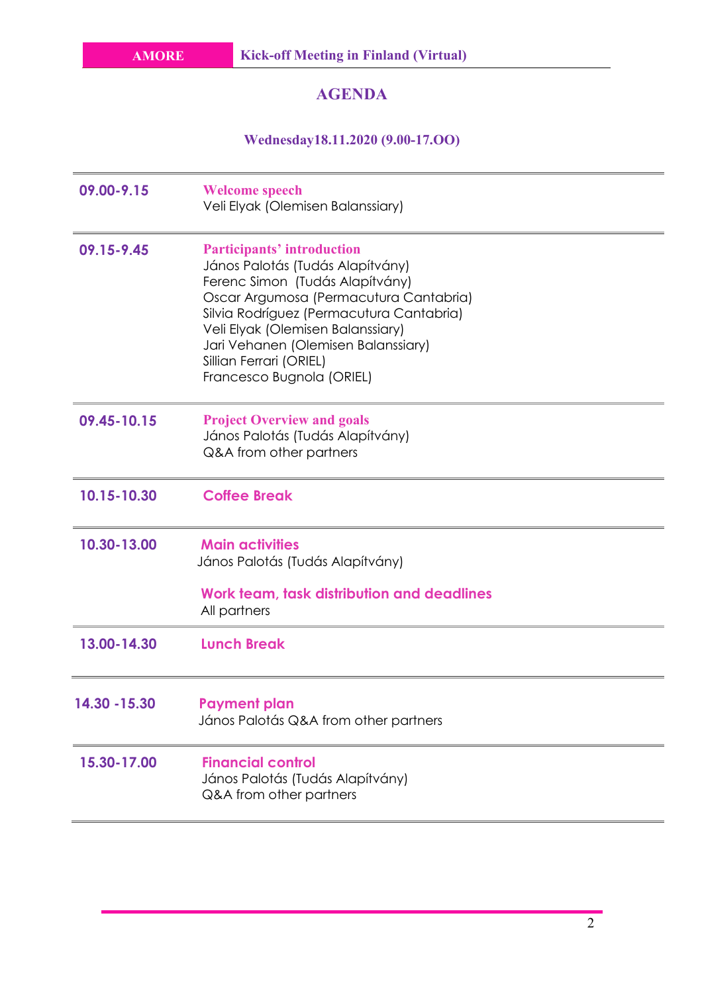# **AGENDA**

**Wednesday18.11.2020 (9.00-17.OO)**

| 09.00-9.15    | <b>Welcome speech</b><br>Veli Elyak (Olemisen Balanssiary)                                                                                                                                                                                                                                                                         |
|---------------|------------------------------------------------------------------------------------------------------------------------------------------------------------------------------------------------------------------------------------------------------------------------------------------------------------------------------------|
| 09.15-9.45    | <b>Participants' introduction</b><br>János Palotás (Tudás Alapítvány)<br>Ferenc Simon (Tudás Alapítvány)<br>Oscar Argumosa (Permacutura Cantabria)<br>Silvia Rodríguez (Permacutura Cantabria)<br>Veli Elyak (Olemisen Balanssiary)<br>Jari Vehanen (Olemisen Balanssiary)<br>Sillian Ferrari (ORIEL)<br>Francesco Bugnola (ORIEL) |
| 09.45-10.15   | <b>Project Overview and goals</b><br>János Palotás (Tudás Alapítvány)<br>Q&A from other partners                                                                                                                                                                                                                                   |
| 10.15-10.30   | <b>Coffee Break</b>                                                                                                                                                                                                                                                                                                                |
| 10.30-13.00   | <b>Main activities</b><br>János Palotás (Tudás Alapítvány)<br>Work team, task distribution and deadlines<br>All partners                                                                                                                                                                                                           |
| 13.00-14.30   | <b>Lunch Break</b>                                                                                                                                                                                                                                                                                                                 |
| 14.30 - 15.30 | <b>Payment plan</b><br>János Palotás Q&A from other partners                                                                                                                                                                                                                                                                       |
| 15.30-17.00   | <b>Financial control</b><br>János Palotás (Tudás Alapítvány)<br>Q&A from other partners                                                                                                                                                                                                                                            |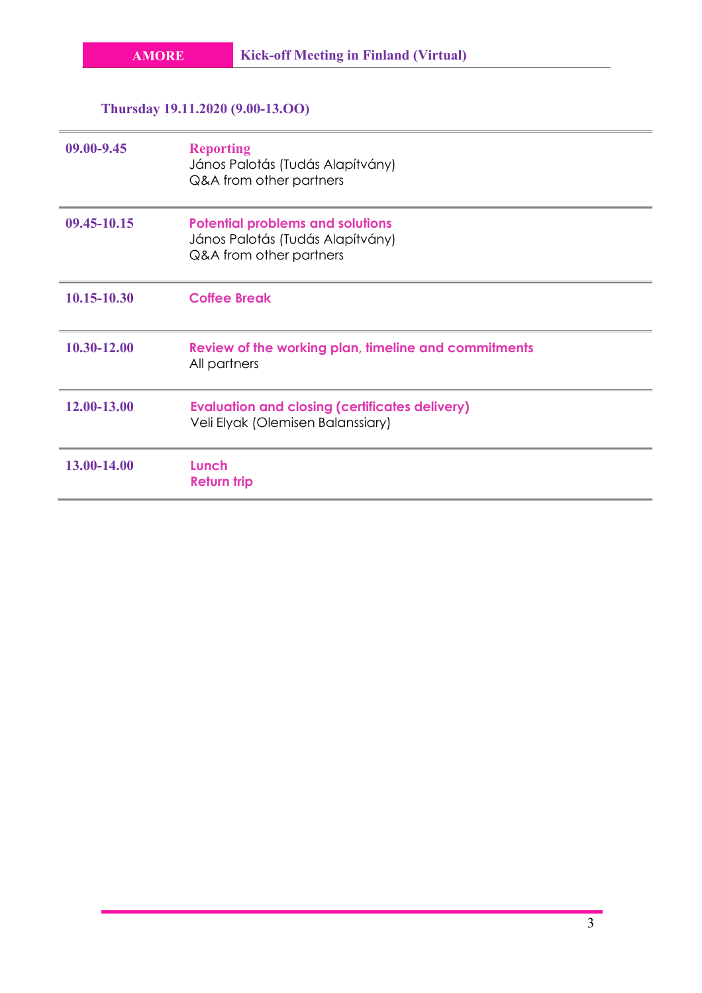# **Thursday 19.11.2020 (9.00-13.OO)**

| 09.00-9.45  | <b>Reporting</b><br>János Palotás (Tudás Alapítvány)<br>Q&A from other partners                        |
|-------------|--------------------------------------------------------------------------------------------------------|
| 09.45-10.15 | <b>Potential problems and solutions</b><br>János Palotás (Tudás Alapítvány)<br>Q&A from other partners |
| 10.15-10.30 | <b>Coffee Break</b>                                                                                    |
| 10.30-12.00 | Review of the working plan, timeline and commitments<br>All partners                                   |
| 12.00-13.00 | <b>Evaluation and closing (certificates delivery)</b><br>Veli Elyak (Olemisen Balanssiary)             |
| 13.00-14.00 | Lunch<br><b>Return trip</b>                                                                            |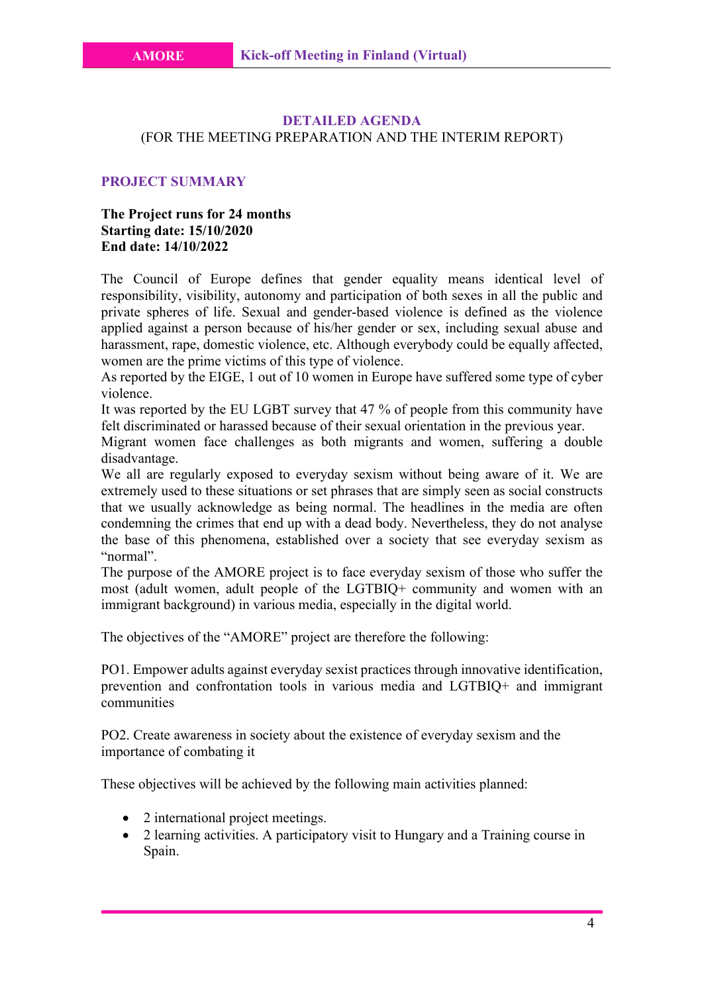### **DETAILED AGENDA** (FOR THE MEETING PREPARATION AND THE INTERIM REPORT)

#### **PROJECT SUMMARY**

# **The Project runs for 24 months Starting date: 15/10/2020 End date: 14/10/2022**

The Council of Europe defines that gender equality means identical level of responsibility, visibility, autonomy and participation of both sexes in all the public and private spheres of life. Sexual and gender-based violence is defined as the violence applied against a person because of his/her gender or sex, including sexual abuse and harassment, rape, domestic violence, etc. Although everybody could be equally affected, women are the prime victims of this type of violence.

As reported by the EIGE, 1 out of 10 women in Europe have suffered some type of cyber violence.

It was reported by the EU LGBT survey that 47 % of people from this community have felt discriminated or harassed because of their sexual orientation in the previous year.

Migrant women face challenges as both migrants and women, suffering a double disadvantage.

We all are regularly exposed to everyday sexism without being aware of it. We are extremely used to these situations or set phrases that are simply seen as social constructs that we usually acknowledge as being normal. The headlines in the media are often condemning the crimes that end up with a dead body. Nevertheless, they do not analyse the base of this phenomena, established over a society that see everyday sexism as "normal".

The purpose of the AMORE project is to face everyday sexism of those who suffer the most (adult women, adult people of the LGTBIQ+ community and women with an immigrant background) in various media, especially in the digital world.

The objectives of the "AMORE" project are therefore the following:

PO1. Empower adults against everyday sexist practices through innovative identification, prevention and confrontation tools in various media and LGTBIQ+ and immigrant communities

PO2. Create awareness in society about the existence of everyday sexism and the importance of combating it

These objectives will be achieved by the following main activities planned:

- 2 international project meetings.
- 2 learning activities. A participatory visit to Hungary and a Training course in Spain.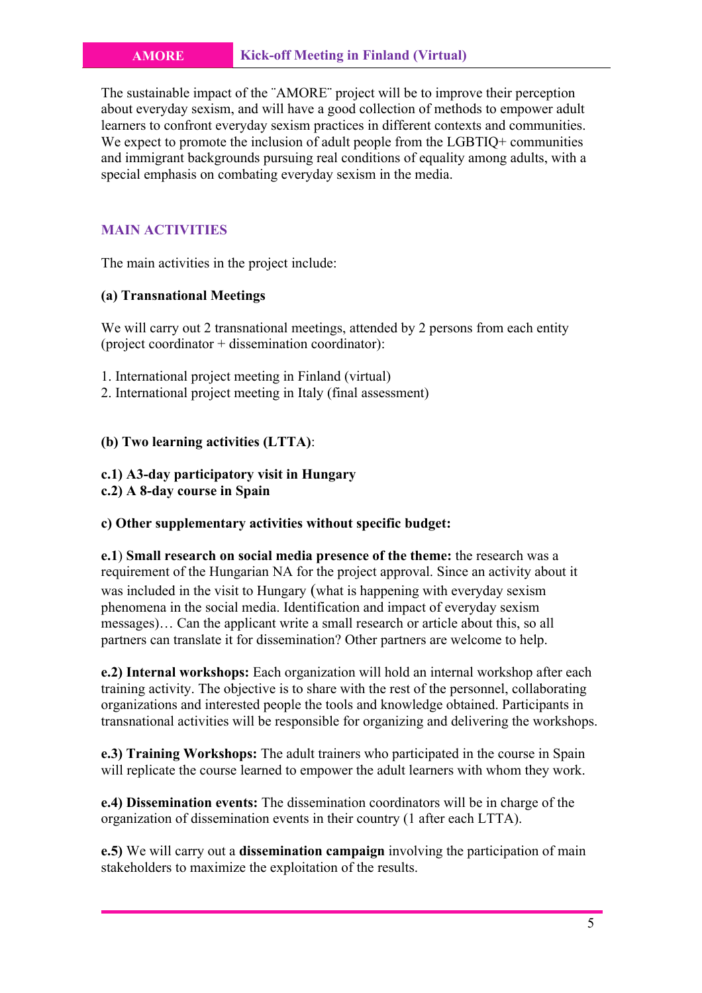The sustainable impact of the ¨AMORE¨ project will be to improve their perception about everyday sexism, and will have a good collection of methods to empower adult learners to confront everyday sexism practices in different contexts and communities. We expect to promote the inclusion of adult people from the LGBTIQ+ communities and immigrant backgrounds pursuing real conditions of equality among adults, with a special emphasis on combating everyday sexism in the media.

# **MAIN ACTIVITIES**

The main activities in the project include:

# **(a) Transnational Meetings**

We will carry out 2 transnational meetings, attended by 2 persons from each entity (project coordinator + dissemination coordinator):

- 1. International project meeting in Finland (virtual)
- 2. International project meeting in Italy (final assessment)

# **(b) Two learning activities (LTTA)**:

**c.1) A3-day participatory visit in Hungary c.2) A 8-day course in Spain**

# **c) Other supplementary activities without specific budget:**

**e.1**) **Small research on social media presence of the theme:** the research was a requirement of the Hungarian NA for the project approval. Since an activity about it was included in the visit to Hungary (what is happening with everyday sexism phenomena in the social media. Identification and impact of everyday sexism messages)… Can the applicant write a small research or article about this, so all partners can translate it for dissemination? Other partners are welcome to help.

**e.2) Internal workshops:** Each organization will hold an internal workshop after each training activity. The objective is to share with the rest of the personnel, collaborating organizations and interested people the tools and knowledge obtained. Participants in transnational activities will be responsible for organizing and delivering the workshops.

**e.3) Training Workshops:** The adult trainers who participated in the course in Spain will replicate the course learned to empower the adult learners with whom they work.

**e.4) Dissemination events:** The dissemination coordinators will be in charge of the organization of dissemination events in their country (1 after each LTTA).

**e.5)** We will carry out a **dissemination campaign** involving the participation of main stakeholders to maximize the exploitation of the results.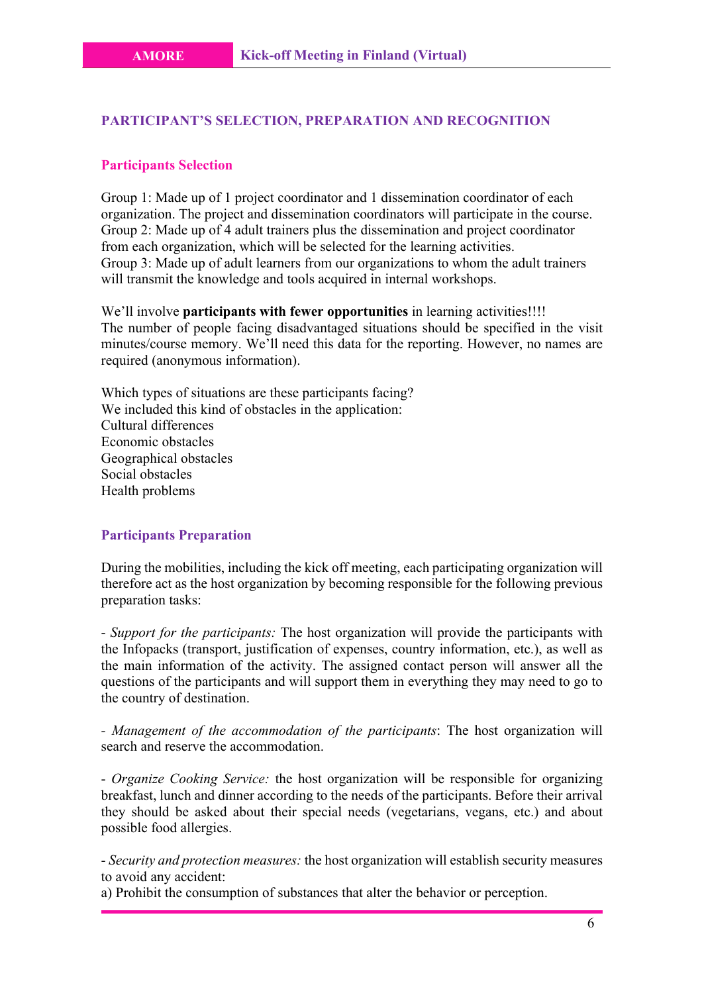#### **PARTICIPANT'S SELECTION, PREPARATION AND RECOGNITION**

#### **Participants Selection**

Group 1: Made up of 1 project coordinator and 1 dissemination coordinator of each organization. The project and dissemination coordinators will participate in the course. Group 2: Made up of 4 adult trainers plus the dissemination and project coordinator from each organization, which will be selected for the learning activities. Group 3: Made up of adult learners from our organizations to whom the adult trainers will transmit the knowledge and tools acquired in internal workshops.

We'll involve **participants with fewer opportunities** in learning activities!!!! The number of people facing disadvantaged situations should be specified in the visit minutes/course memory. We'll need this data for the reporting. However, no names are required (anonymous information).

Which types of situations are these participants facing? We included this kind of obstacles in the application: Cultural differences Economic obstacles Geographical obstacles Social obstacles Health problems

# **Participants Preparation**

During the mobilities, including the kick off meeting, each participating organization will therefore act as the host organization by becoming responsible for the following previous preparation tasks:

- *Support for the participants:* The host organization will provide the participants with the Infopacks (transport, justification of expenses, country information, etc.), as well as the main information of the activity. The assigned contact person will answer all the questions of the participants and will support them in everything they may need to go to the country of destination.

*- Management of the accommodation of the participants*: The host organization will search and reserve the accommodation.

- *Organize Cooking Service:* the host organization will be responsible for organizing breakfast, lunch and dinner according to the needs of the participants. Before their arrival they should be asked about their special needs (vegetarians, vegans, etc.) and about possible food allergies.

- *Security and protection measures:* the host organization will establish security measures to avoid any accident:

a) Prohibit the consumption of substances that alter the behavior or perception.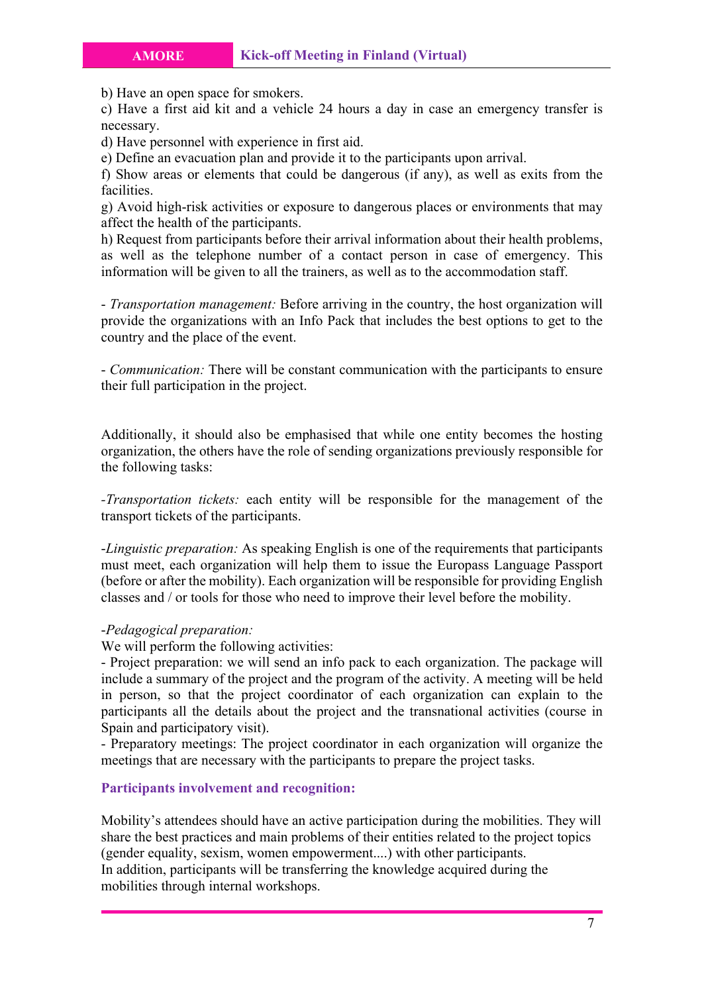b) Have an open space for smokers.

c) Have a first aid kit and a vehicle 24 hours a day in case an emergency transfer is necessary.

d) Have personnel with experience in first aid.

e) Define an evacuation plan and provide it to the participants upon arrival.

f) Show areas or elements that could be dangerous (if any), as well as exits from the facilities.

g) Avoid high-risk activities or exposure to dangerous places or environments that may affect the health of the participants.

h) Request from participants before their arrival information about their health problems, as well as the telephone number of a contact person in case of emergency. This information will be given to all the trainers, as well as to the accommodation staff.

- *Transportation management:* Before arriving in the country, the host organization will provide the organizations with an Info Pack that includes the best options to get to the country and the place of the event.

- *Communication:* There will be constant communication with the participants to ensure their full participation in the project.

Additionally, it should also be emphasised that while one entity becomes the hosting organization, the others have the role of sending organizations previously responsible for the following tasks:

*-Transportation tickets:* each entity will be responsible for the management of the transport tickets of the participants.

-*Linguistic preparation:* As speaking English is one of the requirements that participants must meet, each organization will help them to issue the Europass Language Passport (before or after the mobility). Each organization will be responsible for providing English classes and / or tools for those who need to improve their level before the mobility.

### -*Pedagogical preparation:*

We will perform the following activities:

- Project preparation: we will send an info pack to each organization. The package will include a summary of the project and the program of the activity. A meeting will be held in person, so that the project coordinator of each organization can explain to the participants all the details about the project and the transnational activities (course in Spain and participatory visit).

- Preparatory meetings: The project coordinator in each organization will organize the meetings that are necessary with the participants to prepare the project tasks.

#### **Participants involvement and recognition:**

Mobility's attendees should have an active participation during the mobilities. They will share the best practices and main problems of their entities related to the project topics (gender equality, sexism, women empowerment....) with other participants. In addition, participants will be transferring the knowledge acquired during the mobilities through internal workshops.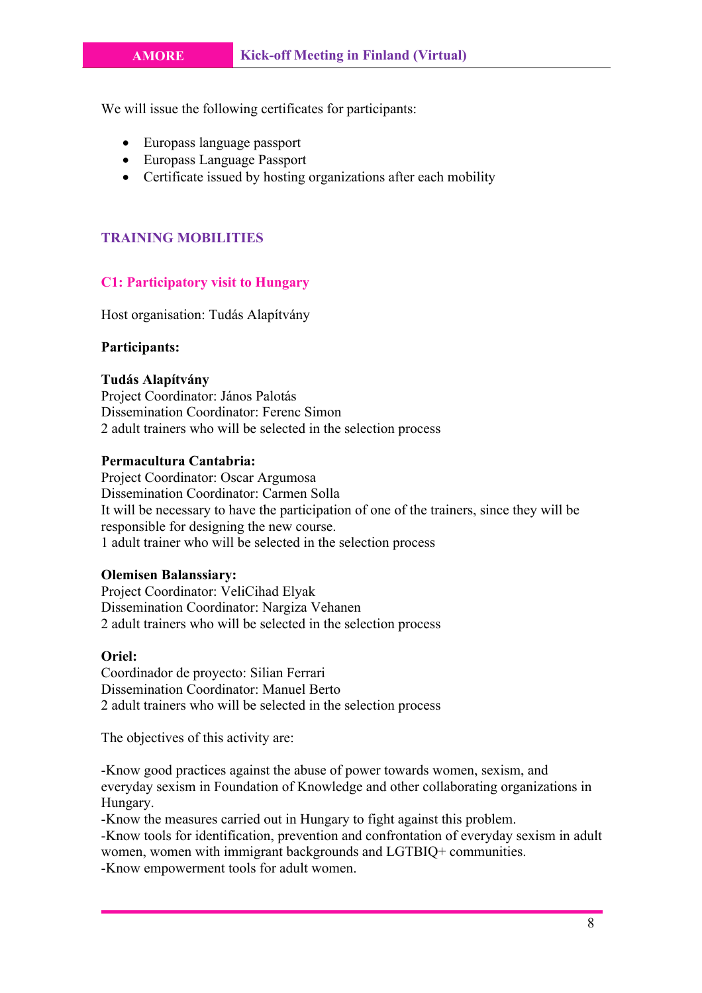We will issue the following certificates for participants:

- Europass language passport
- Europass Language Passport
- Certificate issued by hosting organizations after each mobility

# **TRAINING MOBILITIES**

### **C1: Participatory visit to Hungary**

Host organisation: Tudás Alapítvány

### **Participants:**

### **Tudás Alapítvány**

Project Coordinator: János Palotás Dissemination Coordinator: Ferenc Simon 2 adult trainers who will be selected in the selection process

# **Permacultura Cantabria:**

Project Coordinator: Oscar Argumosa Dissemination Coordinator: Carmen Solla It will be necessary to have the participation of one of the trainers, since they will be responsible for designing the new course. 1 adult trainer who will be selected in the selection process

#### **Olemisen Balanssiary:**

Project Coordinator: VeliCihad Elyak Dissemination Coordinator: Nargiza Vehanen 2 adult trainers who will be selected in the selection process

#### **Oriel:**

Coordinador de proyecto: Silian Ferrari Dissemination Coordinator: Manuel Berto 2 adult trainers who will be selected in the selection process

The objectives of this activity are:

-Know good practices against the abuse of power towards women, sexism, and everyday sexism in Foundation of Knowledge and other collaborating organizations in Hungary.

-Know the measures carried out in Hungary to fight against this problem.

-Know tools for identification, prevention and confrontation of everyday sexism in adult women, women with immigrant backgrounds and LGTBIQ+ communities. -Know empowerment tools for adult women.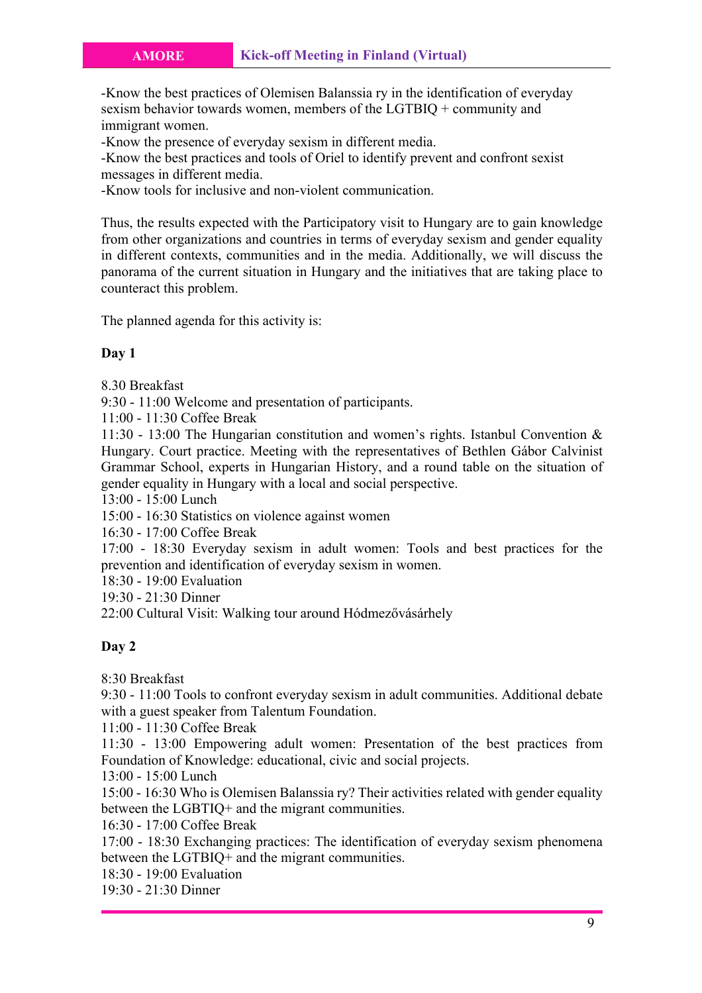-Know the best practices of Olemisen Balanssia ry in the identification of everyday sexism behavior towards women, members of the LGTBIQ + community and immigrant women.

-Know the presence of everyday sexism in different media.

-Know the best practices and tools of Oriel to identify prevent and confront sexist messages in different media.

-Know tools for inclusive and non-violent communication.

Thus, the results expected with the Participatory visit to Hungary are to gain knowledge from other organizations and countries in terms of everyday sexism and gender equality in different contexts, communities and in the media. Additionally, we will discuss the panorama of the current situation in Hungary and the initiatives that are taking place to counteract this problem.

The planned agenda for this activity is:

### **Day 1**

8.30 Breakfast

9:30 - 11:00 Welcome and presentation of participants.

11:00 - 11:30 Coffee Break

11:30 - 13:00 The Hungarian constitution and women's rights. Istanbul Convention & Hungary. Court practice. Meeting with the representatives of Bethlen Gábor Calvinist Grammar School, experts in Hungarian History, and a round table on the situation of gender equality in Hungary with a local and social perspective.

13:00 - 15:00 Lunch

15:00 - 16:30 Statistics on violence against women

16:30 - 17:00 Coffee Break

17:00 - 18:30 Everyday sexism in adult women: Tools and best practices for the prevention and identification of everyday sexism in women.

18:30 - 19:00 Evaluation

19:30 - 21:30 Dinner

22:00 Cultural Visit: Walking tour around Hódmezővásárhely

#### **Day 2**

8:30 Breakfast

9:30 - 11:00 Tools to confront everyday sexism in adult communities. Additional debate with a guest speaker from Talentum Foundation.

11:00 - 11:30 Coffee Break

11:30 - 13:00 Empowering adult women: Presentation of the best practices from Foundation of Knowledge: educational, civic and social projects.

13:00 - 15:00 Lunch

15:00 - 16:30 Who is Olemisen Balanssia ry? Their activities related with gender equality between the LGBTIQ+ and the migrant communities.

16:30 - 17:00 Coffee Break

17:00 - 18:30 Exchanging practices: The identification of everyday sexism phenomena between the LGTBIQ+ and the migrant communities.

18:30 - 19:00 Evaluation

19:30 - 21:30 Dinner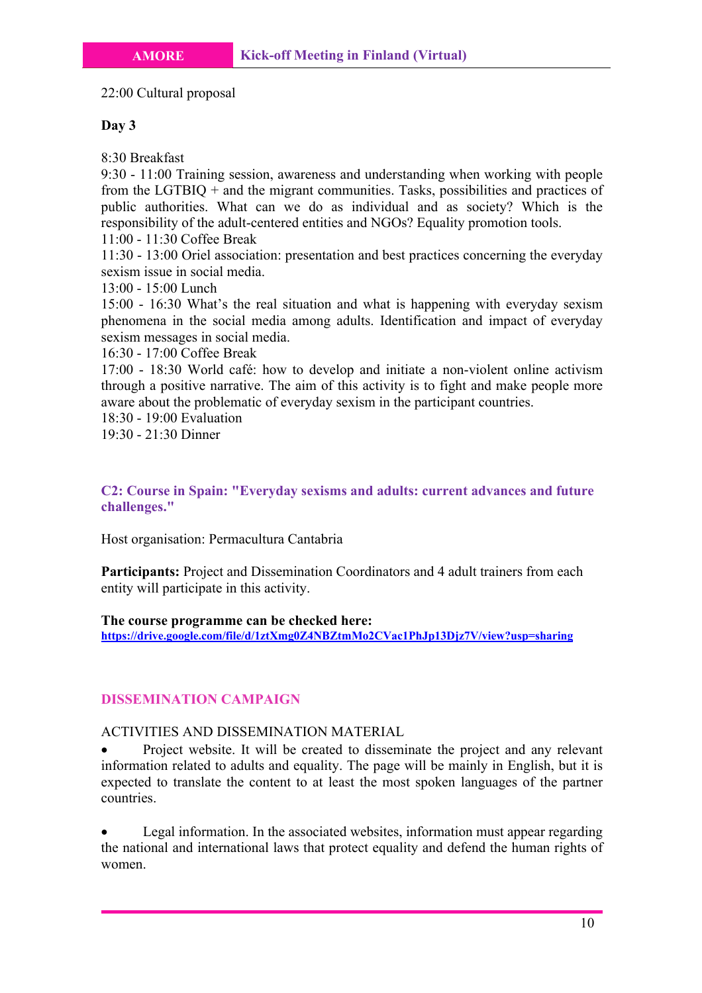22:00 Cultural proposal

# **Day 3**

8:30 Breakfast

9:30 - 11:00 Training session, awareness and understanding when working with people from the LGTBIQ + and the migrant communities. Tasks, possibilities and practices of public authorities. What can we do as individual and as society? Which is the responsibility of the adult-centered entities and NGOs? Equality promotion tools.

11:00 - 11:30 Coffee Break

11:30 - 13:00 Oriel association: presentation and best practices concerning the everyday sexism issue in social media.

13:00 - 15:00 Lunch

15:00 - 16:30 What's the real situation and what is happening with everyday sexism phenomena in the social media among adults. Identification and impact of everyday sexism messages in social media.

16:30 - 17:00 Coffee Break

17:00 - 18:30 World café: how to develop and initiate a non-violent online activism through a positive narrative. The aim of this activity is to fight and make people more aware about the problematic of everyday sexism in the participant countries.

18:30 - 19:00 Evaluation

19:30 - 21:30 Dinner

**C2: Course in Spain: "Everyday sexisms and adults: current advances and future challenges."**

Host organisation: Permacultura Cantabria

Participants: Project and Dissemination Coordinators and 4 adult trainers from each entity will participate in this activity.

**The course programme can be checked here: https://drive.google.com/file/d/1ztXmg0Z4NBZtmMo2CVac1PhJp13Djz7V/view?usp=sharing**

# **DISSEMINATION CAMPAIGN**

# ACTIVITIES AND DISSEMINATION MATERIAL

• Project website. It will be created to disseminate the project and any relevant information related to adults and equality. The page will be mainly in English, but it is expected to translate the content to at least the most spoken languages of the partner countries.

• Legal information. In the associated websites, information must appear regarding the national and international laws that protect equality and defend the human rights of women.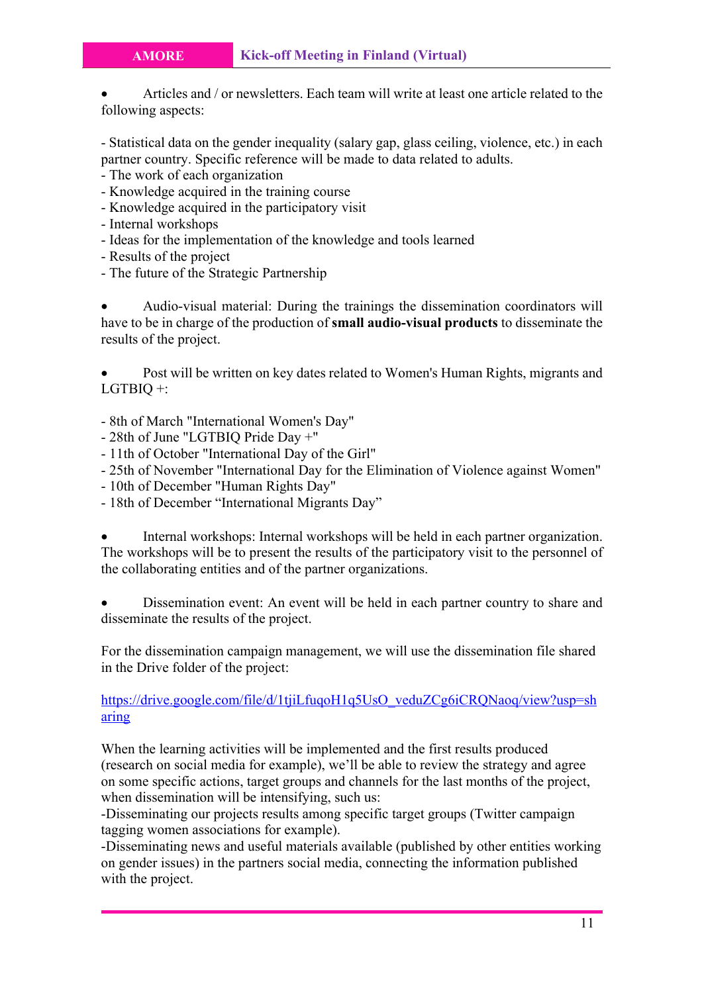• Articles and / or newsletters. Each team will write at least one article related to the following aspects:

- Statistical data on the gender inequality (salary gap, glass ceiling, violence, etc.) in each partner country. Specific reference will be made to data related to adults.

- The work of each organization
- Knowledge acquired in the training course
- Knowledge acquired in the participatory visit
- Internal workshops
- Ideas for the implementation of the knowledge and tools learned
- Results of the project
- The future of the Strategic Partnership

• Audio-visual material: During the trainings the dissemination coordinators will have to be in charge of the production of **small audio-visual products** to disseminate the results of the project.

• Post will be written on key dates related to Women's Human Rights, migrants and LGTBIQ +:

- 8th of March "International Women's Day"
- 28th of June "LGTBIQ Pride Day +"
- 11th of October "International Day of the Girl"
- 25th of November "International Day for the Elimination of Violence against Women"
- 10th of December "Human Rights Day"
- 18th of December "International Migrants Day"

• Internal workshops: Internal workshops will be held in each partner organization. The workshops will be to present the results of the participatory visit to the personnel of the collaborating entities and of the partner organizations.

• Dissemination event: An event will be held in each partner country to share and disseminate the results of the project.

For the dissemination campaign management, we will use the dissemination file shared in the Drive folder of the project:

# https://drive.google.com/file/d/1tjiLfuqoH1q5UsO\_veduZCg6iCRQNaoq/view?usp=sh aring

When the learning activities will be implemented and the first results produced (research on social media for example), we'll be able to review the strategy and agree on some specific actions, target groups and channels for the last months of the project, when dissemination will be intensifying, such us:

-Disseminating our projects results among specific target groups (Twitter campaign tagging women associations for example).

-Disseminating news and useful materials available (published by other entities working on gender issues) in the partners social media, connecting the information published with the project.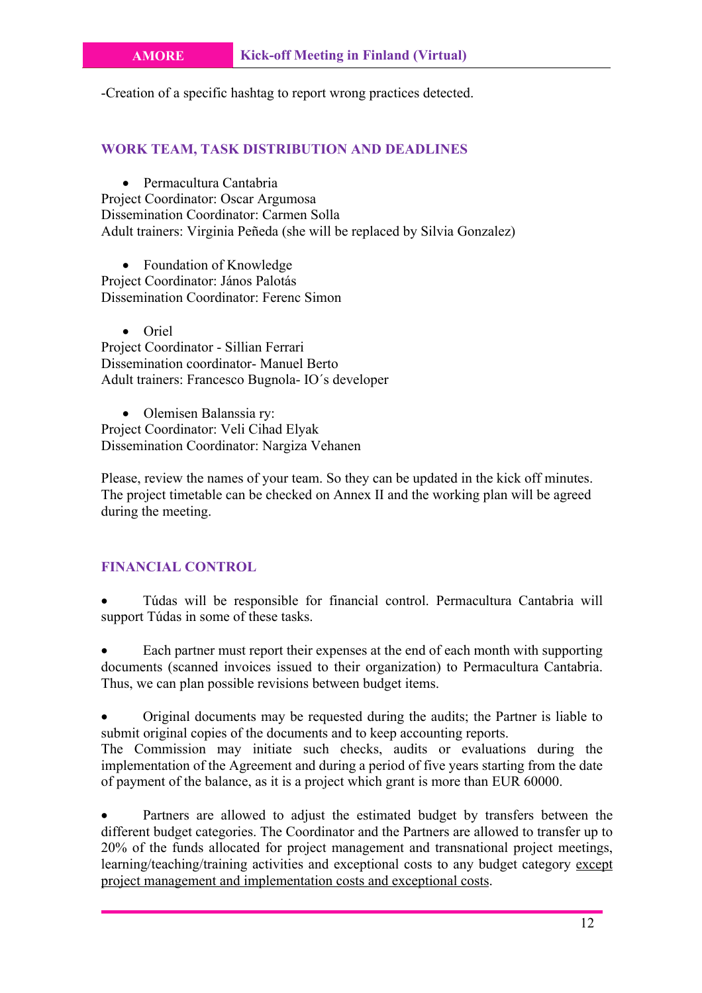-Creation of a specific hashtag to report wrong practices detected.

# **WORK TEAM, TASK DISTRIBUTION AND DEADLINES**

• Permacultura Cantabria Project Coordinator: Oscar Argumosa Dissemination Coordinator: Carmen Solla Adult trainers: Virginia Peñeda (she will be replaced by Silvia Gonzalez)

• Foundation of Knowledge Project Coordinator: János Palotás Dissemination Coordinator: Ferenc Simon

• Oriel Project Coordinator - Sillian Ferrari Dissemination coordinator- Manuel Berto Adult trainers: Francesco Bugnola- IO´s developer

• Olemisen Balanssia ry: Project Coordinator: Veli Cihad Elyak Dissemination Coordinator: Nargiza Vehanen

Please, review the names of your team. So they can be updated in the kick off minutes. The project timetable can be checked on Annex II and the working plan will be agreed during the meeting.

# **FINANCIAL CONTROL**

• Túdas will be responsible for financial control. Permacultura Cantabria will support Túdas in some of these tasks.

Each partner must report their expenses at the end of each month with supporting documents (scanned invoices issued to their organization) to Permacultura Cantabria. Thus, we can plan possible revisions between budget items.

• Original documents may be requested during the audits; the Partner is liable to submit original copies of the documents and to keep accounting reports.

The Commission may initiate such checks, audits or evaluations during the implementation of the Agreement and during a period of five years starting from the date of payment of the balance, as it is a project which grant is more than EUR 60000.

Partners are allowed to adjust the estimated budget by transfers between the different budget categories. The Coordinator and the Partners are allowed to transfer up to 20% of the funds allocated for project management and transnational project meetings, learning/teaching/training activities and exceptional costs to any budget category except project management and implementation costs and exceptional costs.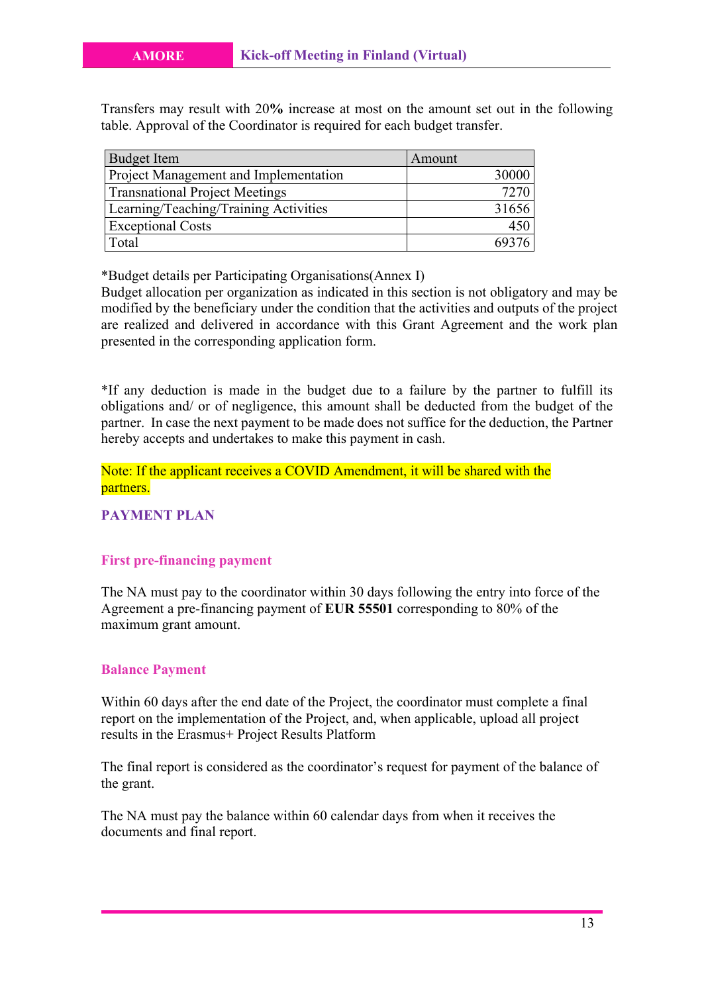Transfers may result with 20**%** increase at most on the amount set out in the following table. Approval of the Coordinator is required for each budget transfer.

| <b>Budget Item</b>                    | Amount |
|---------------------------------------|--------|
| Project Management and Implementation | 30000  |
| <b>Transnational Project Meetings</b> | 7270   |
| Learning/Teaching/Training Activities | 31656  |
| <b>Exceptional Costs</b>              |        |
| Total                                 |        |

\*Budget details per Participating Organisations(Annex I)

Budget allocation per organization as indicated in this section is not obligatory and may be modified by the beneficiary under the condition that the activities and outputs of the project are realized and delivered in accordance with this Grant Agreement and the work plan presented in the corresponding application form.

\*If any deduction is made in the budget due to a failure by the partner to fulfill its obligations and/ or of negligence, this amount shall be deducted from the budget of the partner. In case the next payment to be made does not suffice for the deduction, the Partner hereby accepts and undertakes to make this payment in cash.

Note: If the applicant receives a COVID Amendment, it will be shared with the partners.

**PAYMENT PLAN**

### **First pre-financing payment**

The NA must pay to the coordinator within 30 days following the entry into force of the Agreement a pre-financing payment of **EUR 55501** corresponding to 80% of the maximum grant amount.

#### **Balance Payment**

Within 60 days after the end date of the Project, the coordinator must complete a final report on the implementation of the Project, and, when applicable, upload all project results in the Erasmus+ Project Results Platform

The final report is considered as the coordinator's request for payment of the balance of the grant.

The NA must pay the balance within 60 calendar days from when it receives the documents and final report.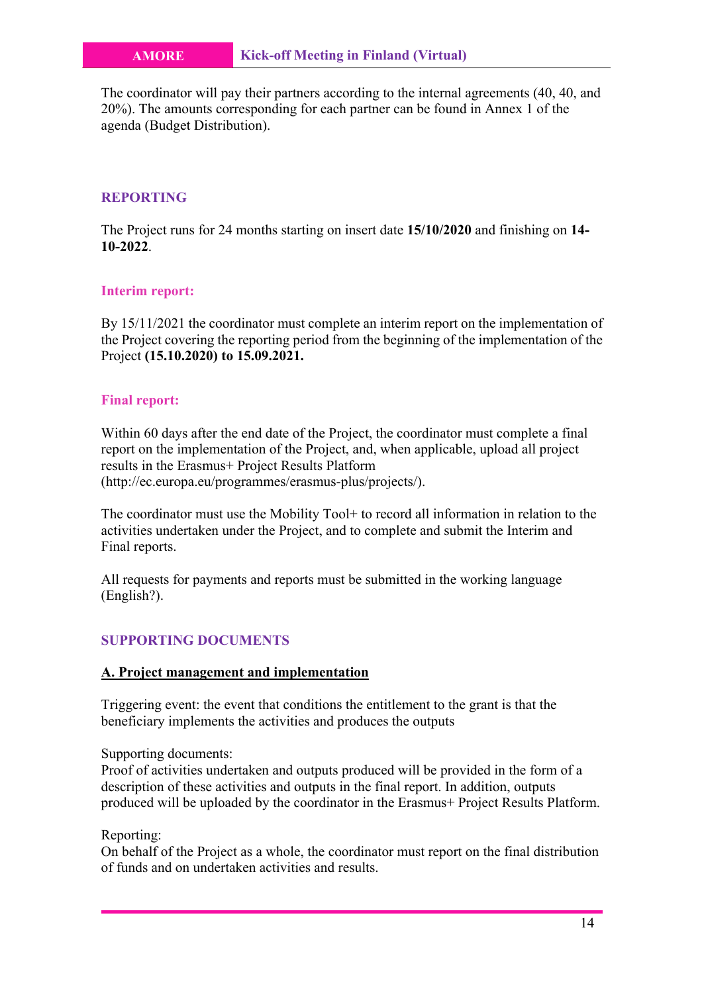The coordinator will pay their partners according to the internal agreements (40, 40, and 20%). The amounts corresponding for each partner can be found in Annex 1 of the agenda (Budget Distribution).

# **REPORTING**

The Project runs for 24 months starting on insert date **15/10/2020** and finishing on **14- 10-2022**.

### **Interim report:**

By 15/11/2021 the coordinator must complete an interim report on the implementation of the Project covering the reporting period from the beginning of the implementation of the Project **(15.10.2020) to 15.09.2021.**

#### **Final report:**

Within 60 days after the end date of the Project, the coordinator must complete a final report on the implementation of the Project, and, when applicable, upload all project results in the Erasmus+ Project Results Platform (http://ec.europa.eu/programmes/erasmus-plus/projects/).

The coordinator must use the Mobility Tool+ to record all information in relation to the activities undertaken under the Project, and to complete and submit the Interim and Final reports.

All requests for payments and reports must be submitted in the working language (English?).

# **SUPPORTING DOCUMENTS**

#### **A. Project management and implementation**

Triggering event: the event that conditions the entitlement to the grant is that the beneficiary implements the activities and produces the outputs

# Supporting documents:

Proof of activities undertaken and outputs produced will be provided in the form of a description of these activities and outputs in the final report. In addition, outputs produced will be uploaded by the coordinator in the Erasmus+ Project Results Platform.

#### Reporting:

On behalf of the Project as a whole, the coordinator must report on the final distribution of funds and on undertaken activities and results.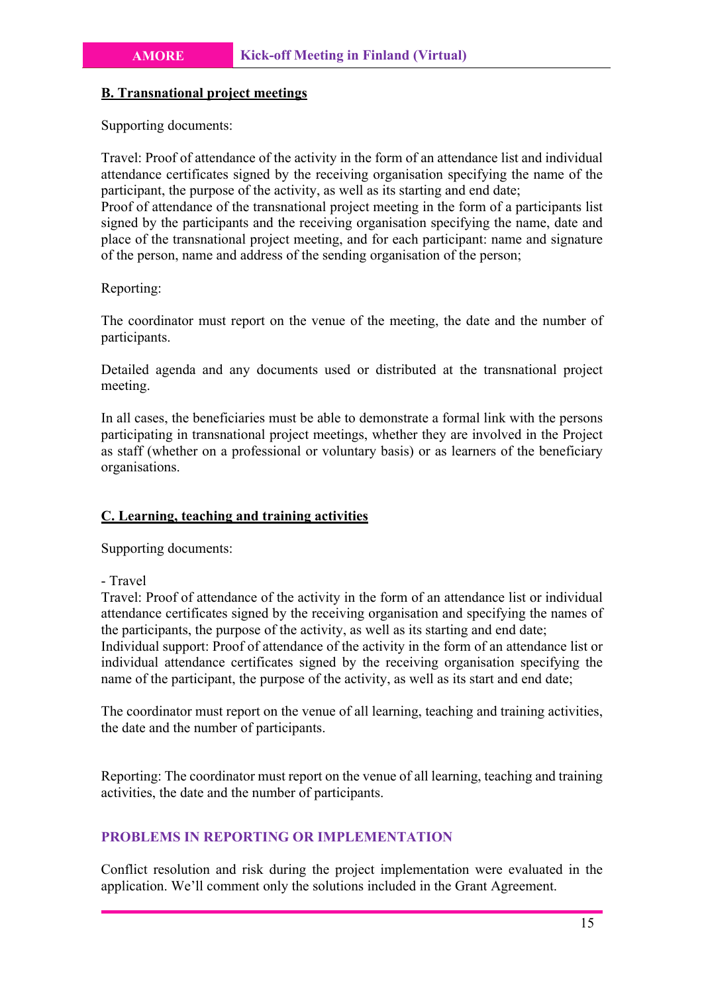#### **B. Transnational project meetings**

Supporting documents:

Travel: Proof of attendance of the activity in the form of an attendance list and individual attendance certificates signed by the receiving organisation specifying the name of the participant, the purpose of the activity, as well as its starting and end date; Proof of attendance of the transnational project meeting in the form of a participants list signed by the participants and the receiving organisation specifying the name, date and place of the transnational project meeting, and for each participant: name and signature of the person, name and address of the sending organisation of the person;

# Reporting:

The coordinator must report on the venue of the meeting, the date and the number of participants.

Detailed agenda and any documents used or distributed at the transnational project meeting.

In all cases, the beneficiaries must be able to demonstrate a formal link with the persons participating in transnational project meetings, whether they are involved in the Project as staff (whether on a professional or voluntary basis) or as learners of the beneficiary organisations.

# **C. Learning, teaching and training activities**

Supporting documents:

- Travel

Travel: Proof of attendance of the activity in the form of an attendance list or individual attendance certificates signed by the receiving organisation and specifying the names of the participants, the purpose of the activity, as well as its starting and end date; Individual support: Proof of attendance of the activity in the form of an attendance list or individual attendance certificates signed by the receiving organisation specifying the name of the participant, the purpose of the activity, as well as its start and end date;

The coordinator must report on the venue of all learning, teaching and training activities, the date and the number of participants.

Reporting: The coordinator must report on the venue of all learning, teaching and training activities, the date and the number of participants.

# **PROBLEMS IN REPORTING OR IMPLEMENTATION**

Conflict resolution and risk during the project implementation were evaluated in the application. We'll comment only the solutions included in the Grant Agreement.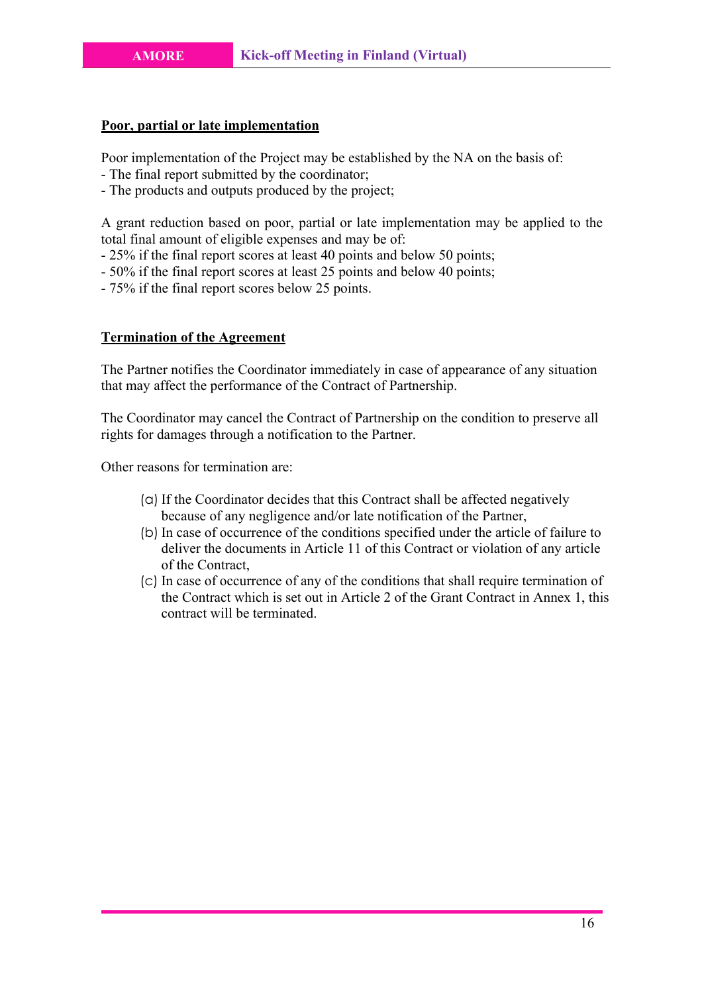#### **Poor, partial or late implementation**

Poor implementation of the Project may be established by the NA on the basis of:

- The final report submitted by the coordinator;
- The products and outputs produced by the project;

A grant reduction based on poor, partial or late implementation may be applied to the total final amount of eligible expenses and may be of:

- 25% if the final report scores at least 40 points and below 50 points;
- 50% if the final report scores at least 25 points and below 40 points;
- 75% if the final report scores below 25 points.

#### **Termination of the Agreement**

The Partner notifies the Coordinator immediately in case of appearance of any situation that may affect the performance of the Contract of Partnership.

The Coordinator may cancel the Contract of Partnership on the condition to preserve all rights for damages through a notification to the Partner.

Other reasons for termination are:

- (a) If the Coordinator decides that this Contract shall be affected negatively because of any negligence and/or late notification of the Partner,
- (b) In case of occurrence of the conditions specified under the article of failure to deliver the documents in Article 11 of this Contract or violation of any article of the Contract,
- (c) In case of occurrence of any of the conditions that shall require termination of the Contract which is set out in Article 2 of the Grant Contract in Annex 1, this contract will be terminated.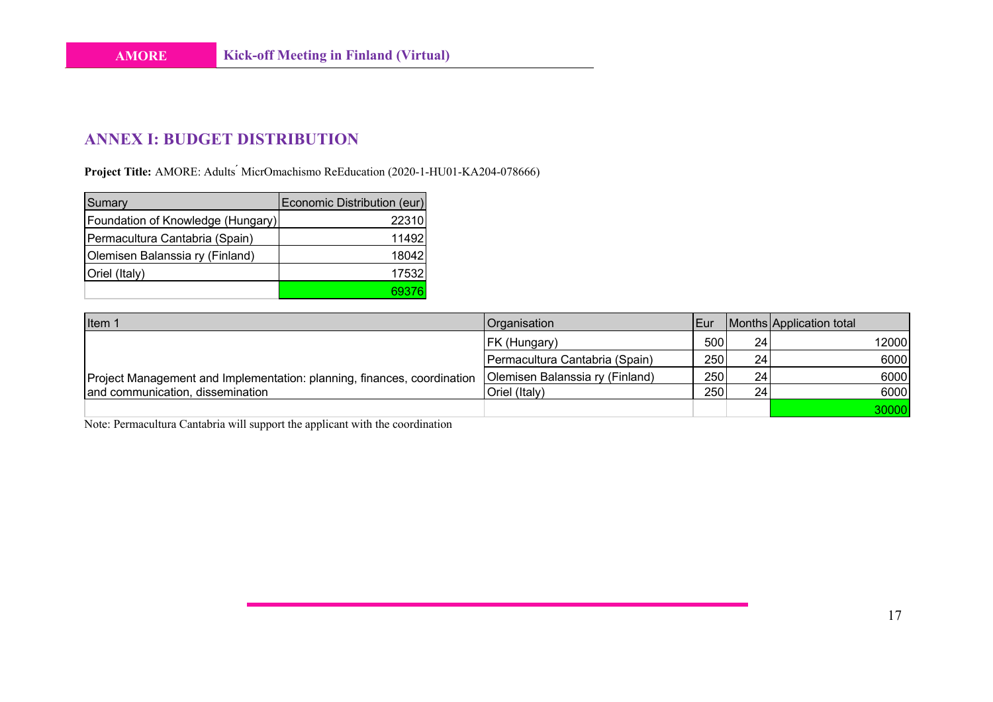# **ANNEX I: BUDGET DISTRIBUTION**

Project Title: AMORE: Adults<sup>'</sup> MicrOmachismo ReEducation (2020-1-HU01-KA204-078666)

| Sumary                            | Economic Distribution (eur) |
|-----------------------------------|-----------------------------|
| Foundation of Knowledge (Hungary) | 22310                       |
| Permacultura Cantabria (Spain)    | 11492                       |
| Olemisen Balanssia ry (Finland)   | 18042                       |
| Oriel (Italy)                     | 17532                       |
|                                   |                             |

| Item 1                                                                  | <b>Organisation</b>             | <b>Eur</b> |     | Months Application total |
|-------------------------------------------------------------------------|---------------------------------|------------|-----|--------------------------|
|                                                                         | <b>FK (Hungary)</b>             | 500        | 241 | 12000                    |
|                                                                         | Permacultura Cantabria (Spain)  | 250        | 241 | 6000                     |
| Project Management and Implementation: planning, finances, coordination | Olemisen Balanssia ry (Finland) | 250        | 24  | 6000                     |
| and communication, dissemination                                        | Oriel (Italy)                   | 250        | 24  | 6000                     |
|                                                                         |                                 |            |     | 30000                    |

Note: Permacultura Cantabria will support the applicant with the coordination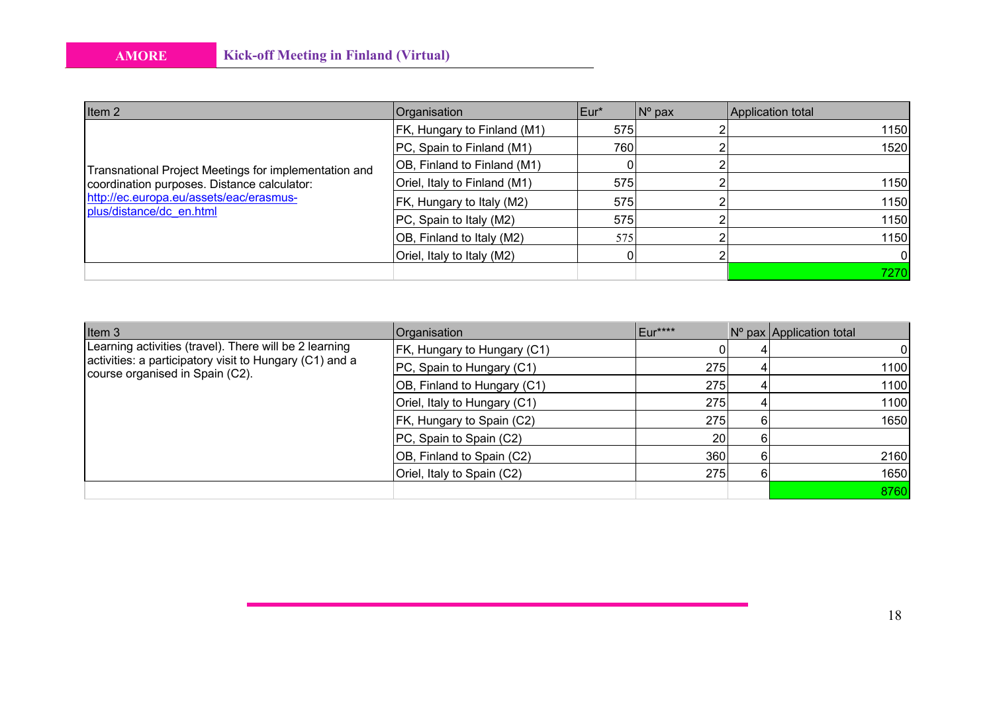| Item 2                                                                                 | Organisation                 | IEur* | $No$ pax | Application total |
|----------------------------------------------------------------------------------------|------------------------------|-------|----------|-------------------|
|                                                                                        | FK, Hungary to Finland (M1)  | 575   |          | 1150              |
|                                                                                        | PC, Spain to Finland (M1)    | 760   |          | 1520              |
| Transnational Project Meetings for implementation and                                  | OB, Finland to Finland (M1)  |       |          |                   |
| coordination purposes. Distance calculator:<br>http://ec.europa.eu/assets/eac/erasmus- | Oriel, Italy to Finland (M1) | 575   |          | 1150              |
|                                                                                        | FK, Hungary to Italy (M2)    | 575   |          | 1150              |
| plus/distance/dc en.html                                                               | PC, Spain to Italy (M2)      | 575   |          | 1150              |
|                                                                                        | OB, Finland to Italy (M2)    | 575   |          | 1150              |
|                                                                                        | Oriel, Italy to Italy (M2)   |       |          |                   |
|                                                                                        |                              |       |          | 7270              |

| Item 3                                                                                                                                               | Organisation                 | Eur**** |   | N° pax Application total |
|------------------------------------------------------------------------------------------------------------------------------------------------------|------------------------------|---------|---|--------------------------|
| Learning activities (travel). There will be 2 learning<br>activities: a participatory visit to Hungary (C1) and a<br>course organised in Spain (C2). | FK, Hungary to Hungary (C1)  |         |   | 01                       |
|                                                                                                                                                      | PC, Spain to Hungary (C1)    | 275     | 4 | 1100                     |
|                                                                                                                                                      | OB, Finland to Hungary (C1)  | 275     | 4 | 1100                     |
|                                                                                                                                                      | Oriel, Italy to Hungary (C1) | 275     | 4 | 1100                     |
|                                                                                                                                                      | FK, Hungary to Spain (C2)    | 275     | 6 | 1650                     |
|                                                                                                                                                      | PC, Spain to Spain (C2)      | 20      |   |                          |
|                                                                                                                                                      | OB, Finland to Spain (C2)    | 360     | հ | 2160                     |
|                                                                                                                                                      | Oriel, Italy to Spain (C2)   | 275     | 6 | 1650                     |
|                                                                                                                                                      |                              |         |   | 8760                     |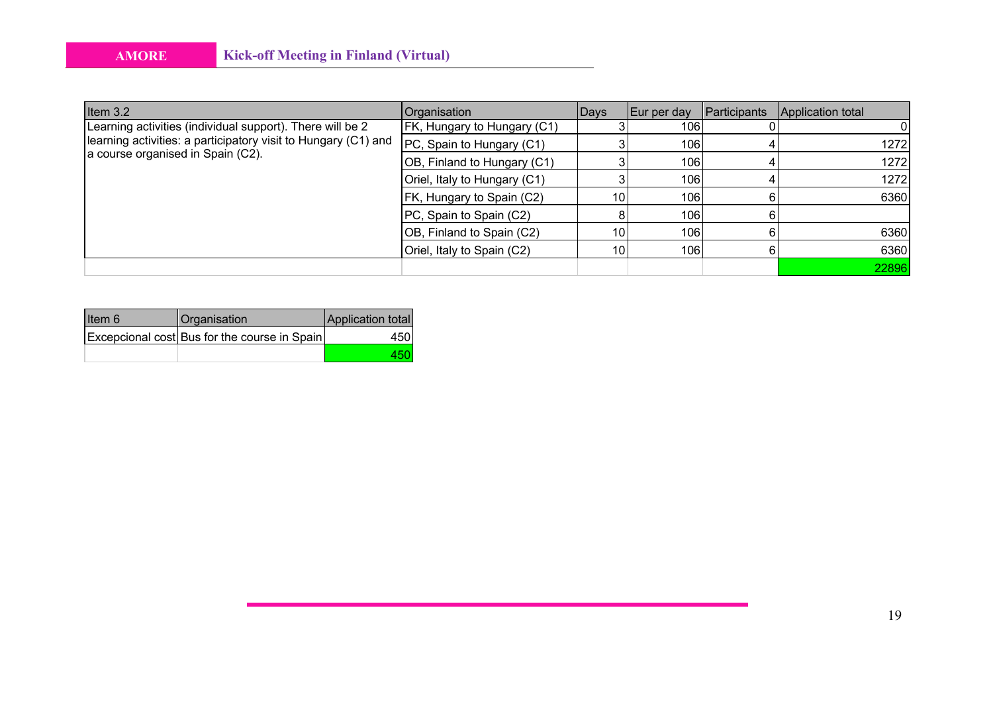| Item $3.2$                                                                                                                                                       | Organisation                 | <b>Days</b>     | Eur per day | Participants | Application total |
|------------------------------------------------------------------------------------------------------------------------------------------------------------------|------------------------------|-----------------|-------------|--------------|-------------------|
| Learning activities (individual support). There will be 2<br>learning activities: a participatory visit to Hungary (C1) and<br>a course organised in Spain (C2). | FK, Hungary to Hungary (C1)  |                 | 106         |              |                   |
|                                                                                                                                                                  | PC, Spain to Hungary (C1)    |                 | 106         |              | 1272              |
|                                                                                                                                                                  | OB, Finland to Hungary (C1)  |                 | 106         |              | 1272              |
|                                                                                                                                                                  | Oriel, Italy to Hungary (C1) |                 | 106         |              | 1272              |
|                                                                                                                                                                  | FK, Hungary to Spain (C2)    | 10              | 106         |              | 6360              |
|                                                                                                                                                                  | PC, Spain to Spain (C2)      |                 | 106         |              |                   |
|                                                                                                                                                                  | OB, Finland to Spain (C2)    | 10              | 106         |              | 6360              |
|                                                                                                                                                                  | Oriel, Italy to Spain (C2)   | 10 <sup>1</sup> | 106         |              | 6360              |
|                                                                                                                                                                  |                              |                 |             |              | 22896             |

| lltem 6 | Organisation                                 | Application total |
|---------|----------------------------------------------|-------------------|
|         | Excepcional cost Bus for the course in Spain | 450.              |
|         |                                              |                   |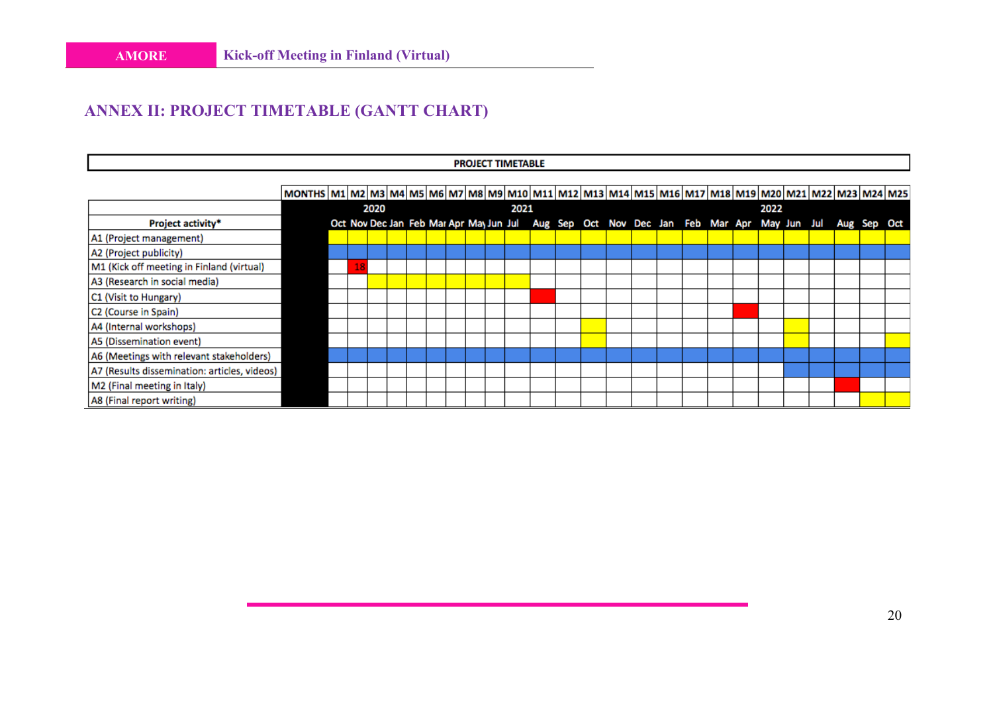# **ANNEX II: PROJECT TIMETABLE (GANTT CHART)**

|                                              |                                                                                                                                                     |  |  |      |  |  |  |  |  |  | <b>PROJECT TIMETABLE</b> |  |  |  |  |  |      |  |  |                                                                                                     |  |
|----------------------------------------------|-----------------------------------------------------------------------------------------------------------------------------------------------------|--|--|------|--|--|--|--|--|--|--------------------------|--|--|--|--|--|------|--|--|-----------------------------------------------------------------------------------------------------|--|
|                                              |                                                                                                                                                     |  |  |      |  |  |  |  |  |  |                          |  |  |  |  |  |      |  |  |                                                                                                     |  |
|                                              | MONTHS   M1   M2   M3   M4   M5   M6   M7   M8   M9   M10   M11   M12   M13   M14   M15   M16   M17   M18   M19   M20   M21   M22   M23   M24   M25 |  |  |      |  |  |  |  |  |  |                          |  |  |  |  |  |      |  |  |                                                                                                     |  |
|                                              |                                                                                                                                                     |  |  | 2020 |  |  |  |  |  |  | 2021                     |  |  |  |  |  | 2022 |  |  |                                                                                                     |  |
| Project activity*                            |                                                                                                                                                     |  |  |      |  |  |  |  |  |  |                          |  |  |  |  |  |      |  |  | Oct Nov Dec Jan Feb Mar Apr May Jun Jul Aug Sep Oct Nov Dec Jan Feb Mar Apr May Jun Jul Aug Sep Oct |  |
| A1 (Project management)                      |                                                                                                                                                     |  |  |      |  |  |  |  |  |  |                          |  |  |  |  |  |      |  |  |                                                                                                     |  |
| A2 (Project publicity)                       |                                                                                                                                                     |  |  |      |  |  |  |  |  |  |                          |  |  |  |  |  |      |  |  |                                                                                                     |  |
| M1 (Kick off meeting in Finland (virtual)    |                                                                                                                                                     |  |  |      |  |  |  |  |  |  |                          |  |  |  |  |  |      |  |  |                                                                                                     |  |
| A3 (Research in social media)                |                                                                                                                                                     |  |  |      |  |  |  |  |  |  |                          |  |  |  |  |  |      |  |  |                                                                                                     |  |
| C1 (Visit to Hungary)                        |                                                                                                                                                     |  |  |      |  |  |  |  |  |  |                          |  |  |  |  |  |      |  |  |                                                                                                     |  |
| C2 (Course in Spain)                         |                                                                                                                                                     |  |  |      |  |  |  |  |  |  |                          |  |  |  |  |  |      |  |  |                                                                                                     |  |
| A4 (Internal workshops)                      |                                                                                                                                                     |  |  |      |  |  |  |  |  |  |                          |  |  |  |  |  |      |  |  |                                                                                                     |  |
| A5 (Dissemination event)                     |                                                                                                                                                     |  |  |      |  |  |  |  |  |  |                          |  |  |  |  |  |      |  |  |                                                                                                     |  |
| A6 (Meetings with relevant stakeholders)     |                                                                                                                                                     |  |  |      |  |  |  |  |  |  |                          |  |  |  |  |  |      |  |  |                                                                                                     |  |
| A7 (Results dissemination: articles, videos) |                                                                                                                                                     |  |  |      |  |  |  |  |  |  |                          |  |  |  |  |  |      |  |  |                                                                                                     |  |
| M2 (Final meeting in Italy)                  |                                                                                                                                                     |  |  |      |  |  |  |  |  |  |                          |  |  |  |  |  |      |  |  |                                                                                                     |  |
| A8 (Final report writing)                    |                                                                                                                                                     |  |  |      |  |  |  |  |  |  |                          |  |  |  |  |  |      |  |  |                                                                                                     |  |